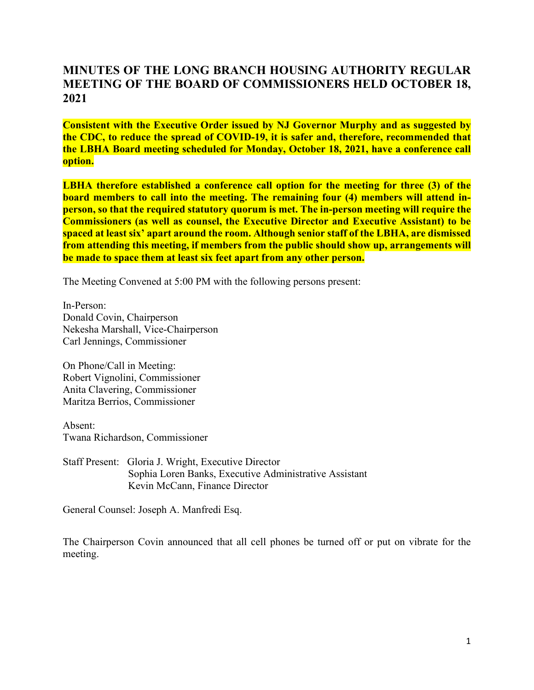#### **MINUTES OF THE LONG BRANCH HOUSING AUTHORITY REGULAR MEETING OF THE BOARD OF COMMISSIONERS HELD OCTOBER 18, 2021**

**Consistent with the Executive Order issued by NJ Governor Murphy and as suggested by the CDC, to reduce the spread of COVID-19, it is safer and, therefore, recommended that the LBHA Board meeting scheduled for Monday, October 18, 2021, have a conference call option.**

**LBHA therefore established a conference call option for the meeting for three (3) of the board members to call into the meeting. The remaining four (4) members will attend inperson, so that the required statutory quorum is met. The in-person meeting will require the Commissioners (as well as counsel, the Executive Director and Executive Assistant) to be spaced at least six' apart around the room. Although senior staff of the LBHA, are dismissed from attending this meeting, if members from the public should show up, arrangements will be made to space them at least six feet apart from any other person.**

The Meeting Convened at 5:00 PM with the following persons present:

In-Person: Donald Covin, Chairperson Nekesha Marshall, Vice-Chairperson Carl Jennings, Commissioner

On Phone/Call in Meeting: Robert Vignolini, Commissioner Anita Clavering, Commissioner Maritza Berrios, Commissioner

Absent: Twana Richardson, Commissioner

Staff Present: Gloria J. Wright, Executive Director Sophia Loren Banks, Executive Administrative Assistant Kevin McCann, Finance Director

General Counsel: Joseph A. Manfredi Esq.

The Chairperson Covin announced that all cell phones be turned off or put on vibrate for the meeting.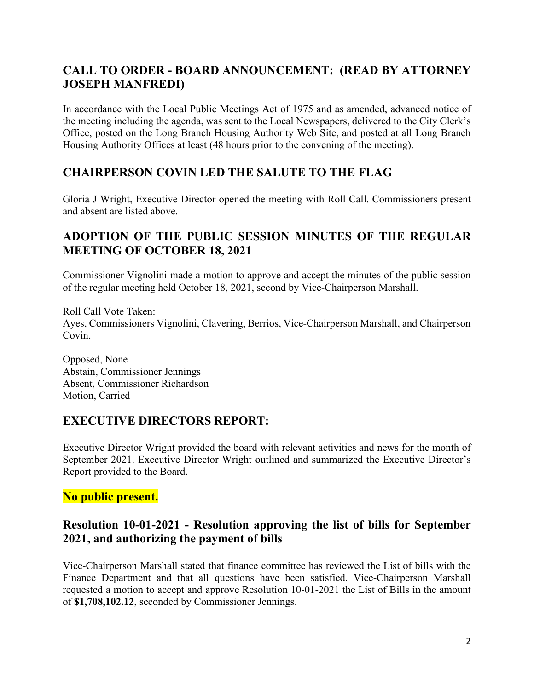# **CALL TO ORDER - BOARD ANNOUNCEMENT: (READ BY ATTORNEY JOSEPH MANFREDI)**

In accordance with the Local Public Meetings Act of 1975 and as amended, advanced notice of the meeting including the agenda, was sent to the Local Newspapers, delivered to the City Clerk's Office, posted on the Long Branch Housing Authority Web Site, and posted at all Long Branch Housing Authority Offices at least (48 hours prior to the convening of the meeting).

# **CHAIRPERSON COVIN LED THE SALUTE TO THE FLAG**

Gloria J Wright, Executive Director opened the meeting with Roll Call. Commissioners present and absent are listed above.

## **ADOPTION OF THE PUBLIC SESSION MINUTES OF THE REGULAR MEETING OF OCTOBER 18, 2021**

Commissioner Vignolini made a motion to approve and accept the minutes of the public session of the regular meeting held October 18, 2021, second by Vice-Chairperson Marshall.

Roll Call Vote Taken: Ayes, Commissioners Vignolini, Clavering, Berrios, Vice-Chairperson Marshall, and Chairperson Covin.

Opposed, None Abstain, Commissioner Jennings Absent, Commissioner Richardson Motion, Carried

# **EXECUTIVE DIRECTORS REPORT:**

Executive Director Wright provided the board with relevant activities and news for the month of September 2021. Executive Director Wright outlined and summarized the Executive Director's Report provided to the Board.

#### **No public present.**

# **Resolution 10-01-2021 - Resolution approving the list of bills for September 2021, and authorizing the payment of bills**

Vice-Chairperson Marshall stated that finance committee has reviewed the List of bills with the Finance Department and that all questions have been satisfied. Vice-Chairperson Marshall requested a motion to accept and approve Resolution 10-01-2021 the List of Bills in the amount of **\$1,708,102.12**, seconded by Commissioner Jennings.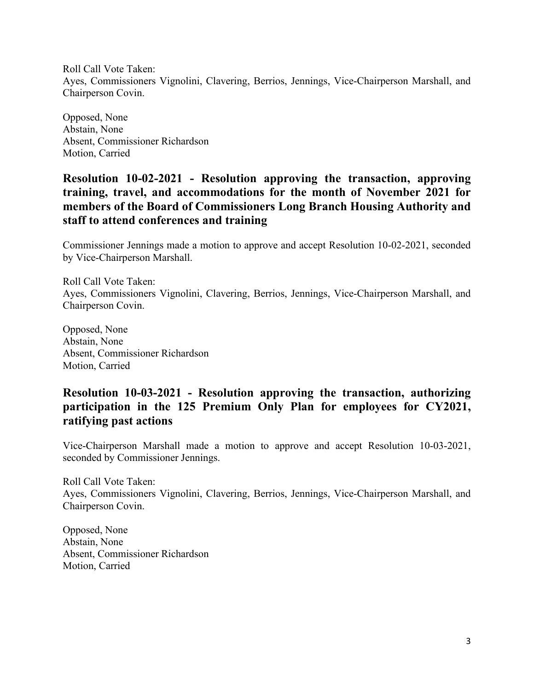Roll Call Vote Taken: Ayes, Commissioners Vignolini, Clavering, Berrios, Jennings, Vice-Chairperson Marshall, and Chairperson Covin.

Opposed, None Abstain, None Absent, Commissioner Richardson Motion, Carried

### **Resolution 10-02-2021 - Resolution approving the transaction, approving training, travel, and accommodations for the month of November 2021 for members of the Board of Commissioners Long Branch Housing Authority and staff to attend conferences and training**

Commissioner Jennings made a motion to approve and accept Resolution 10-02-2021, seconded by Vice-Chairperson Marshall.

Roll Call Vote Taken: Ayes, Commissioners Vignolini, Clavering, Berrios, Jennings, Vice-Chairperson Marshall, and Chairperson Covin.

Opposed, None Abstain, None Absent, Commissioner Richardson Motion, Carried

## **Resolution 10-03-2021 - Resolution approving the transaction, authorizing participation in the 125 Premium Only Plan for employees for CY2021, ratifying past actions**

Vice-Chairperson Marshall made a motion to approve and accept Resolution 10-03-2021, seconded by Commissioner Jennings.

Roll Call Vote Taken: Ayes, Commissioners Vignolini, Clavering, Berrios, Jennings, Vice-Chairperson Marshall, and Chairperson Covin.

Opposed, None Abstain, None Absent, Commissioner Richardson Motion, Carried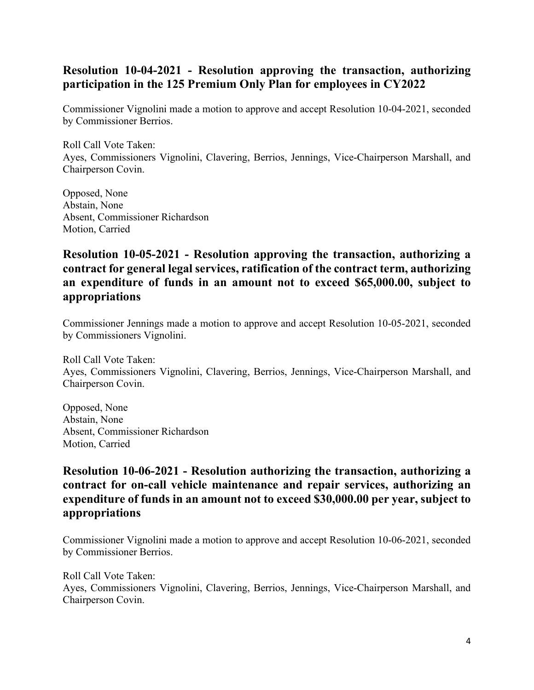# **Resolution 10-04-2021 - Resolution approving the transaction, authorizing participation in the 125 Premium Only Plan for employees in CY2022**

Commissioner Vignolini made a motion to approve and accept Resolution 10-04-2021, seconded by Commissioner Berrios.

Roll Call Vote Taken: Ayes, Commissioners Vignolini, Clavering, Berrios, Jennings, Vice-Chairperson Marshall, and Chairperson Covin.

Opposed, None Abstain, None Absent, Commissioner Richardson Motion, Carried

#### **Resolution 10-05-2021 - Resolution approving the transaction, authorizing a contract for general legal services, ratification of the contract term, authorizing an expenditure of funds in an amount not to exceed \$65,000.00, subject to appropriations**

Commissioner Jennings made a motion to approve and accept Resolution 10-05-2021, seconded by Commissioners Vignolini.

Roll Call Vote Taken: Ayes, Commissioners Vignolini, Clavering, Berrios, Jennings, Vice-Chairperson Marshall, and Chairperson Covin.

Opposed, None Abstain, None Absent, Commissioner Richardson Motion, Carried

### **Resolution 10-06-2021 - Resolution authorizing the transaction, authorizing a contract for on-call vehicle maintenance and repair services, authorizing an expenditure of funds in an amount not to exceed \$30,000.00 per year, subject to appropriations**

Commissioner Vignolini made a motion to approve and accept Resolution 10-06-2021, seconded by Commissioner Berrios.

Roll Call Vote Taken: Ayes, Commissioners Vignolini, Clavering, Berrios, Jennings, Vice-Chairperson Marshall, and Chairperson Covin.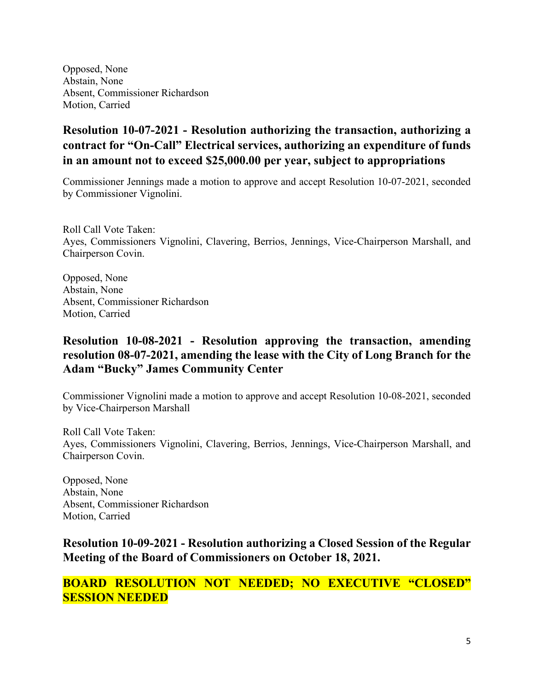Opposed, None Abstain, None Absent, Commissioner Richardson Motion, Carried

# **Resolution 10-07-2021 - Resolution authorizing the transaction, authorizing a contract for "On-Call" Electrical services, authorizing an expenditure of funds in an amount not to exceed \$25,000.00 per year, subject to appropriations**

Commissioner Jennings made a motion to approve and accept Resolution 10-07-2021, seconded by Commissioner Vignolini.

Roll Call Vote Taken: Ayes, Commissioners Vignolini, Clavering, Berrios, Jennings, Vice-Chairperson Marshall, and Chairperson Covin.

Opposed, None Abstain, None Absent, Commissioner Richardson Motion, Carried

## **Resolution 10-08-2021 - Resolution approving the transaction, amending resolution 08-07-2021, amending the lease with the City of Long Branch for the Adam "Bucky" James Community Center**

Commissioner Vignolini made a motion to approve and accept Resolution 10-08-2021, seconded by Vice-Chairperson Marshall

Roll Call Vote Taken: Ayes, Commissioners Vignolini, Clavering, Berrios, Jennings, Vice-Chairperson Marshall, and Chairperson Covin.

Opposed, None Abstain, None Absent, Commissioner Richardson Motion, Carried

**Resolution 10-09-2021 - Resolution authorizing a Closed Session of the Regular Meeting of the Board of Commissioners on October 18, 2021.**

**BOARD RESOLUTION NOT NEEDED; NO EXECUTIVE "CLOSED" SESSION NEEDED**